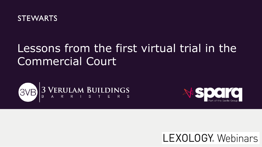

# Lessons from the first virtual trial in the Commercial Court





## **LEXOLOGY** Webinars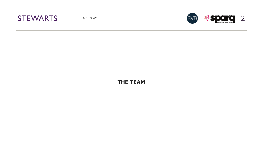



**THE TEAM**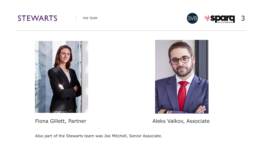### **STEWARTS**







Fiona Gillett, Partner **Aleks Valkov, Associate** 

Also part of the Stewarts team was Joe Mitchell, Senior Associate.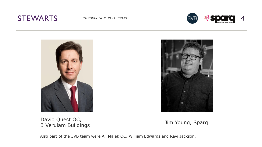### **STEWARTS**







David Quest QC, David Quest QC,<br>3 Verulam Buildings Jim Young, Sparq



Also part of the 3VB team were Ali Malek QC, William Edwards and Ravi Jackson.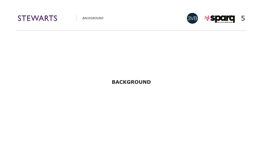



#### **BACKGROUND**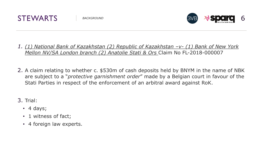



- *1. (1) National Bank of Kazakhstan (2) Republic of Kazakhstan -v- (1) Bank of New York Mellon NV/SA London branch (2) Anatolie Stati & Ors* Claim No FL-2018-000007
- 2. A claim relating to whether c. \$530m of cash deposits held by BNYM in the name of NBK are subject to a "*protective garnishment order*" made by a Belgian court in favour of the Stati Parties in respect of the enforcement of an arbitral award against RoK.

3. Trial:

- $\cdot$  4 days;
- 1 witness of fact;
- 4 foreign law experts.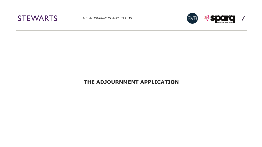



#### **THE ADJOURNMENT APPLICATION**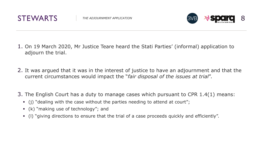



- 1. On 19 March 2020, Mr Justice Teare heard the Stati Parties' (informal) application to adjourn the trial.
- 2. It was argued that it was in the interest of justice to have an adjournment and that the current circumstances would impact the "*fair disposal of the issues at trial*".
- 3. The English Court has a duty to manage cases which pursuant to CPR 1.4(1) means:
	- (j) "dealing with the case without the parties needing to attend at court";
	- (k) "making use of technology"; and
	- (l) "giving directions to ensure that the trial of a case proceeds quickly and efficiently".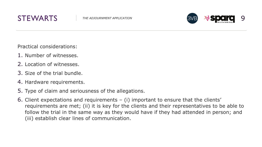



Practical considerations:

- 1. Number of witnesses.
- 2. Location of witnesses.
- 3. Size of the trial bundle.
- 4. Hardware requirements.
- 5. Type of claim and seriousness of the allegations.
- 6. Client expectations and requirements (i) important to ensure that the clients' requirements are met; (ii) it is key for the clients and their representatives to be able to follow the trial in the same way as they would have if they had attended in person; and (iii) establish clear lines of communication.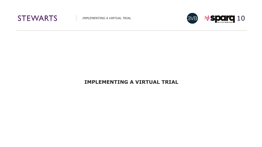



#### **IMPLEMENTING A VIRTUAL TRIAL**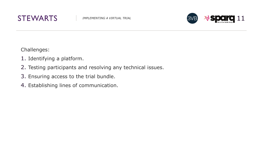



Challenges:

- 1. Identifying a platform.
- 2. Testing participants and resolving any technical issues.
- 3. Ensuring access to the trial bundle.
- 4. Establishing lines of communication.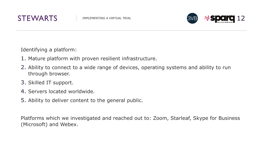



Identifying a platform:

- 1. Mature platform with proven resilient infrastructure.
- 2. Ability to connect to a wide range of devices, operating systems and ability to run through browser.
- 3. Skilled IT support.
- 4. Servers located worldwide.
- 5. Ability to deliver content to the general public.

Platforms which we investigated and reached out to: Zoom, Starleaf, Skype for Business (Microsoft) and Webex.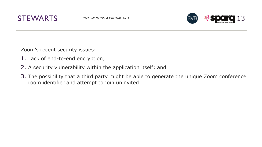



Zoom's recent security issues:

- 1. Lack of end-to-end encryption;
- 2. A security vulnerability within the application itself; and
- 3. The possibility that a third party might be able to generate the unique Zoom conference room identifier and attempt to join uninvited.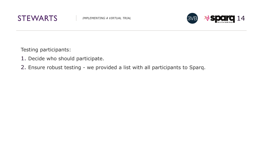



Testing participants:

- 1. Decide who should participate.
- 2. Ensure robust testing we provided a list with all participants to Sparq.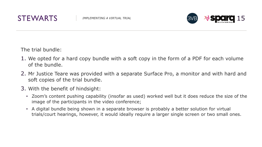



The trial bundle:

- 1. We opted for a hard copy bundle with a soft copy in the form of a PDF for each volume of the bundle.
- 2. Mr Justice Teare was provided with a separate Surface Pro, a monitor and with hard and soft copies of the trial bundle.
- 3. With the benefit of hindsight:
	- Zoom's content pushing capability (insofar as used) worked well but it does reduce the size of the image of the participants in the video conference;
	- A digital bundle being shown in a separate browser is probably a better solution for virtual trials/court hearings, however, it would ideally require a larger single screen or two small ones.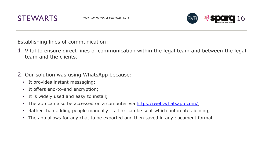



Establishing lines of communication:

- 1. Vital to ensure direct lines of communication within the legal team and between the legal team and the clients.
- 2. Our solution was using WhatsApp because:
	- It provides instant messaging;
	- It offers end-to-end encryption;
	- It is widely used and easy to install;
	- The app can also be accessed on a computer via <https://web.whatsapp.com/>;
	- Rather than adding people manually a link can be sent which automates joining;
	- The app allows for any chat to be exported and then saved in any document format.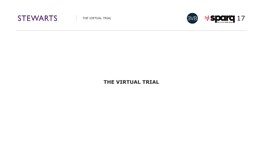



#### **THE VIRTUAL TRIAL**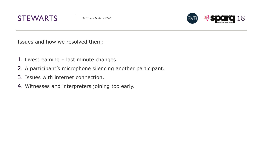



Issues and how we resolved them:

- 1. Livestreaming last minute changes.
- 2. A participant's microphone silencing another participant.
- 3. Issues with internet connection.
- 4. Witnesses and interpreters joining too early.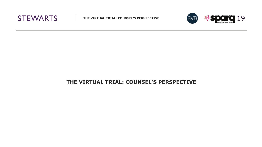



#### **THE VIRTUAL TRIAL: COUNSEL'S PERSPECTIVE**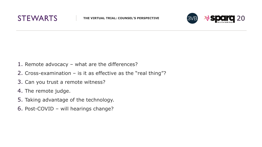



- 1. Remote advocacy what are the differences?
- 2. Cross-examination is it as effective as the "real thing"?
- 3. Can you trust a remote witness?
- 4. The remote judge.
- 5. Taking advantage of the technology.
- 6. Post-COVID will hearings change?